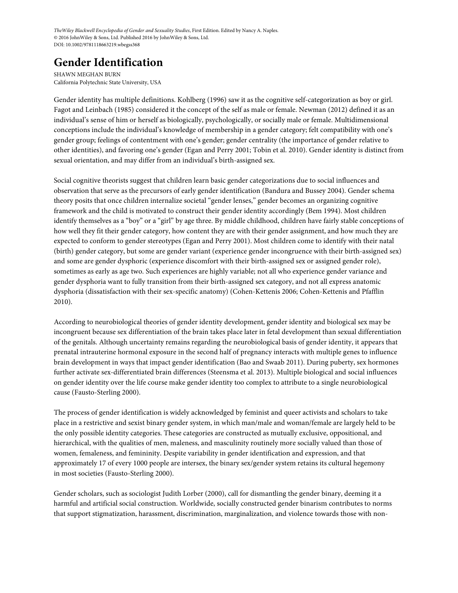*TheWiley Blackwell Encyclopedia of Gender and Sexuality Studies*, First Edition. Edited by Nancy A. Naples. © 2016 JohnWiley & Sons, Ltd. Published 2016 by JohnWiley & Sons, Ltd. DOI: 10.1002/9781118663219.wbegss368

## **Gender Identification**

SHAWN MEGHAN BURN California Polytechnic State University, USA

Gender identity has multiple definitions. Kohlberg (1996) saw it as the cognitive self-categorization as boy or girl. Fagot and Leinbach (1985) considered it the concept of the self as male or female. Newman (2012) defined it as an individual's sense of him or herself as biologically, psychologically, or socially male or female. Multidimensional conceptions include the individual's knowledge of membership in a gender category; felt compatibility with one's gender group; feelings of contentment with one's gender; gender centrality (the importance of gender relative to other identities), and favoring one's gender (Egan and Perry 2001; Tobin et al. 2010). Gender identity is distinct from sexual orientation, and may differ from an individual's birth-assigned sex.

Social cognitive theorists suggest that children learn basic gender categorizations due to social influences and observation that serve as the precursors of early gender identification (Bandura and Bussey 2004). Gender schema theory posits that once children internalize societal ''gender lenses,'' gender becomes an organizing cognitive framework and the child is motivated to construct their gender identity accordingly (Bem 1994). Most children identify themselves as a ''boy'' or a ''girl'' by age three. By middle childhood, children have fairly stable conceptions of how well they fit their gender category, how content they are with their gender assignment, and how much they are expected to conform to gender stereotypes (Egan and Perry 2001). Most children come to identify with their natal (birth) gender category, but some are gender variant (experience gender incongruence with their birth-assigned sex) and some are gender dysphoric (experience discomfort with their birth-assigned sex or assigned gender role), sometimes as early as age two. Such experiences are highly variable; not all who experience gender variance and gender dysphoria want to fully transition from their birth-assigned sex category, and not all express anatomic dysphoria (dissatisfaction with their sex-specific anatomy) (Cohen-Kettenis 2006; Cohen-Kettenis and Pfafflin 2010).

According to neurobiological theories of gender identity development, gender identity and biological sex may be incongruent because sex differentiation of the brain takes place later in fetal development than sexual differentiation of the genitals. Although uncertainty remains regarding the neurobiological basis of gender identity, it appears that prenatal intrauterine hormonal exposure in the second half of pregnancy interacts with multiple genes to influence brain development in ways that impact gender identification (Bao and Swaab 2011). During puberty, sex hormones further activate sex-differentiated brain differences (Steensma et al. 2013). Multiple biological and social influences on gender identity over the life course make gender identity too complex to attribute to a single neurobiological cause (Fausto-Sterling 2000).

The process of gender identification is widely acknowledged by feminist and queer activists and scholars to take place in a restrictive and sexist binary gender system, in which man/male and woman/female are largely held to be the only possible identity categories. These categories are constructed as mutually exclusive, oppositional, and hierarchical, with the qualities of men, maleness, and masculinity routinely more socially valued than those of women, femaleness, and femininity. Despite variability in gender identification and expression, and that approximately 17 of every 1000 people are intersex, the binary sex/gender system retains its cultural hegemony in most societies (Fausto-Sterling 2000).

Gender scholars, such as sociologist Judith Lorber (2000), call for dismantling the gender binary, deeming it a harmful and artificial social construction. Worldwide, socially constructed gender binarism contributes to norms that support stigmatization, harassment, discrimination, marginalization, and violence towards those with non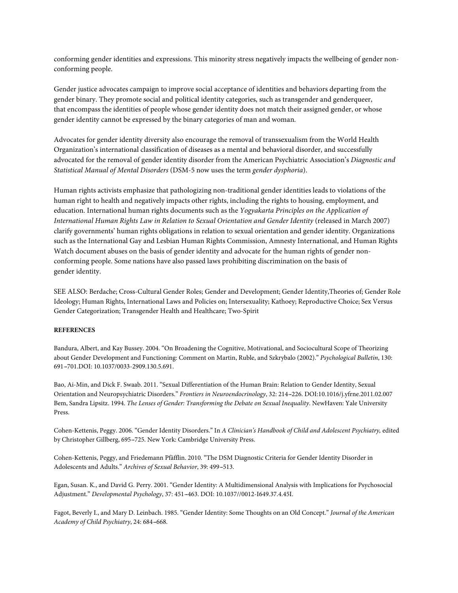conforming gender identities and expressions. This minority stress negatively impacts the wellbeing of gender nonconforming people.

Gender justice advocates campaign to improve social acceptance of identities and behaviors departing from the gender binary. They promote social and political identity categories, such as transgender and genderqueer, that encompass the identities of people whose gender identity does not match their assigned gender, or whose gender identity cannot be expressed by the binary categories of man and woman.

Advocates for gender identity diversity also encourage the removal of transsexualism from the World Health Organization's international classification of diseases as a mental and behavioral disorder, and successfully advocated for the removal of gender identity disorder from the American Psychiatric Association's *Diagnostic and Statistical Manual of Mental Disorders* (DSM-5 now uses the term *gender dysphoria*).

Human rights activists emphasize that pathologizing non-traditional gender identities leads to violations of the human right to health and negatively impacts other rights, including the rights to housing, employment, and education. International human rights documents such as the *Yogyakarta Principles on the Application of International Human Rights Law in Relation to Sexual Orientation and Gender Identity* (released in March 2007) clarify governments' human rights obligations in relation to sexual orientation and gender identity. Organizations such as the International Gay and Lesbian Human Rights Commission, Amnesty International, and Human Rights Watch document abuses on the basis of gender identity and advocate for the human rights of gender nonconforming people. Some nations have also passed laws prohibiting discrimination on the basis of gender identity.

SEE ALSO: Berdache; Cross-Cultural Gender Roles; Gender and Development; Gender Identity,Theories of; Gender Role Ideology; Human Rights, International Laws and Policies on; Intersexuality; Kathoey; Reproductive Choice; Sex Versus Gender Categorization; Transgender Health and Healthcare; Two-Spirit

## **REFERENCES**

Bandura, Albert, and Kay Bussey. 2004. ''On Broadening the Cognitive, Motivational, and Sociocultural Scope of Theorizing about Gender Development and Functioning: Comment on Martin, Ruble, and Szkrybalo (2002).'' *Psychological Bulletin*, 130: 691--701.DOI: 10.1037/0033-2909.130.5.691.

Bao, Ai-Min, and Dick F. Swaab. 2011. ''Sexual Differentiation of the Human Brain: Relation to Gender Identity, Sexual Orientation and Neuropsychiatric Disorders.'' *Frontiers in Neuroendocrinology*, 32: 214--226. DOI:10.1016/j.yfrne.2011.02.007 Bem, Sandra Lipsitz. 1994. *The Lenses of Gender: Transforming the Debate on Sexual Inequality*. NewHaven: Yale University Press.

Cohen-Kettenis, Peggy. 2006. ''Gender Identity Disorders.'' In *A Clinician's Handbook of Child and Adolescent Psychiatry,* edited by Christopher Gillberg, 695--725. New York: Cambridge University Press.

Cohen-Kettenis, Peggy, and Friedemann Pfäfflin. 2010. ''The DSM Diagnostic Criteria for Gender Identity Disorder in Adolescents and Adults." Archives of Sexual Behavior, 39: 499-513.

Egan, Susan. K., and David G. Perry. 2001. ''Gender Identity: A Multidimensional Analysis with Implications for Psychosocial Adjustment.'' *Developmental Psychology*, 37: 451--463. DOI: 10.1037//0012-I649.37.4.45I.

Fagot, Beverly I., and Mary D. Leinbach. 1985. ''Gender Identity: Some Thoughts on an Old Concept.'' *Journal of the American Academy of Child Psychiatry*, 24: 684--668.